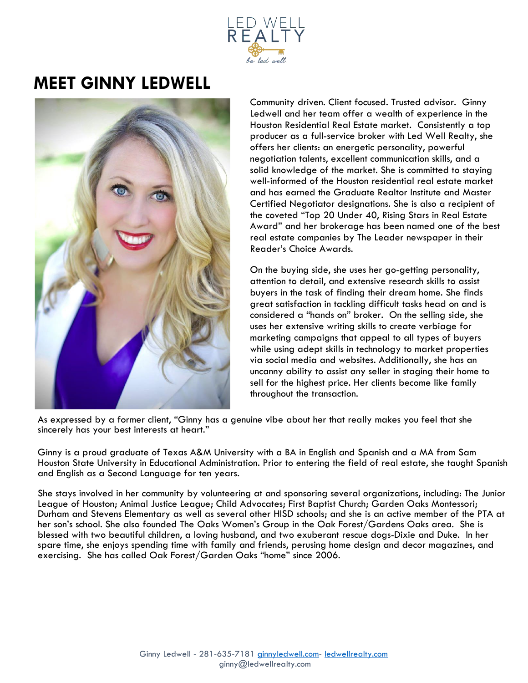

## **MEET GINNY LEDWELL**



Community driven. Client focused. Trusted advisor. Ginny Ledwell and her team offer a wealth of experience in the Houston Residential Real Estate market. Consistently a top producer as a full-service broker with Led Well Realty, she offers her clients: an energetic personality, powerful negotiation talents, excellent communication skills, and a solid knowledge of the market. She is committed to staying well-informed of the Houston residential real estate market and has earned the Graduate Realtor Institute and Master Certified Negotiator designations. She is also a recipient of the coveted "Top 20 Under 40, Rising Stars in Real Estate Award" and her brokerage has been named one of the best real estate companies by The Leader newspaper in their Reader's Choice Awards.

On the buying side, she uses her go-getting personality, attention to detail, and extensive research skills to assist buyers in the task of finding their dream home. She finds great satisfaction in tackling difficult tasks head on and is considered a "hands on" broker. On the selling side, she uses her extensive writing skills to create verbiage for marketing campaigns that appeal to all types of buyers while using adept skills in technology to market properties via social media and websites. Additionally, she has an uncanny ability to assist any seller in staging their home to sell for the highest price. Her clients become like family throughout the transaction.

As expressed by a former client, "Ginny has a genuine vibe about her that really makes you feel that she sincerely has your best interests at heart."

Ginny is a proud graduate of Texas A&M University with a BA in English and Spanish and a MA from Sam Houston State University in Educational Administration. Prior to entering the field of real estate, she taught Spanish and English as a Second Language for ten years.

She stays involved in her community by volunteering at and sponsoring several organizations, including: The Junior League of Houston; Animal Justice League; Child Advocates; First Baptist Church; Garden Oaks Montessori; Durham and Stevens Elementary as well as several other HISD schools; and she is an active member of the PTA at her son's school. She also founded The Oaks Women's Group in the Oak Forest/Gardens Oaks area. She is blessed with two beautiful children, a loving husband, and two exuberant rescue dogs-Dixie and Duke. In her spare time, she enjoys spending time with family and friends, perusing home design and decor magazines, and exercising. She has called Oak Forest/Garden Oaks "home" since 2006.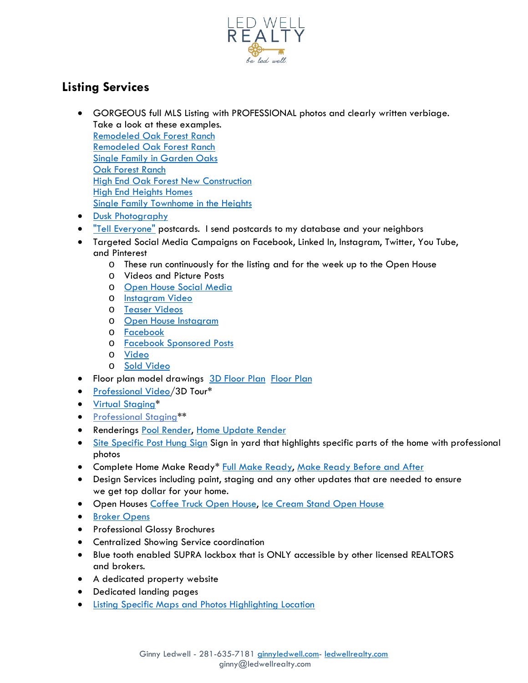

## **Listing Services**

- GORGEOUS full MLS Listing with PROFESSIONAL photos and clearly written verbiage. Take a look at these examples. [Remodeled Oak Forest Ranch](https://www.har.com/s/7eb9C5544F38) [Remodeled Oak Forest Ranch](https://www.har.com/s/5DE6FA6E605b3F7) [Single Family in Garden Oaks](https://www.har.com/s/41386740af6) [Oak Forest Ranch](https://www.har.com/s/805Af8e08861F5) [High End Oak Forest New Construction](https://www.har.com/s/0d03410bc9) [High End Heights Homes](https://www.har.com/homedetail/624-e-19th-st-houston-tx-77008/9414514) [Single Family Townhome in the Heights](https://www.har.com/s/b2CA79e8697973b) • [Dusk Photography](https://www.dropbox.com/s/nx3odq3gwgcjm2o/Dusk%20Photo%20Collab.jpg?dl=0)
- ["Tell Everyone"](https://www.dropbox.com/s/4er37pbv312uhow/Postcard.pdf?dl=0) postcards. I send postcards to my database and your neighbors
- Targeted Social Media Campaigns on Facebook, Linked In, Instagram, Twitter, You Tube, and Pinterest
	- o These run continuously for the listing and for the week up to the Open House
	- o Videos and Picture Posts
	- o [Open House Social Media](https://www.dropbox.com/s/inb5udcx7u8kdyw/Video%20for%20First%20Open%20House.MOV?dl=0)
	- o [Instagram Video](https://www.dropbox.com/s/qwliblh8wzoq7c4/Example%20of%20Instagram%20Video.mp4?dl=0)
	- o [Teaser Videos](https://www.dropbox.com/s/jqi2bxfauzj482x/Instagram%20Video%20from%20Spark%20.mp4?dl=0)
	- o [Open House Instagram](https://www.dropbox.com/s/vfvqjypye07ygwg/Instagram%20with%20Words.jpg?dl=0)
	- o [Facebook](https://www.dropbox.com/s/eeilpagbbpvcsou/Instagram%20with%20Words%20%281%29.jpg?dl=0)
	- o [Facebook Sponsored Posts](https://www.dropbox.com/s/zmvl6p2f43t9ddb/Facebook%20Sponsored%20Post%20Collab.jpg?dl=0)
	- o [Video](https://www.dropbox.com/s/82gtafa0krjvp4y/4016%20Alba.mp4?dl=0)
	- o [Sold Video](https://www.dropbox.com/s/wmuhlzunfwg8k69/1822%20Memories.MOV?dl=0)
- Floor plan model drawings [3D Floor](https://www.dropbox.com/s/ycljtx9vhqm6e85/3D%20Floorplans.png?dl=0) Plan [Floor Plan](https://www.ledwellrealty.com/buyers-sellers-services?lightbox=dataItem-js9hln9p__item-j9wkqyib)
- [Professional Video/](https://youtu.be/rKTaNtjudzI)3D Tour\*
- [Virtual Staging\\*](https://www.dropbox.com/s/5lxpm4irwih3fqx/VIrtual%20Staging%20Collab.jpg?dl=0)
- [Professional Staging\\*](https://www.har.com/s/da5E64452)\*
- **Renderings [Pool Render,](https://www.dropbox.com/s/akg8hc3q63t658b/IMG_6445.JPG?dl=0) [Home Update Render](https://www.dropbox.com/s/yoayibzfif1a0ev/Render.jpg?dl=0)**
- [Site Specific Post Hung Sign](https://www.dropbox.com/s/f2ofn5fby39xl86/Site%20Specific%20SIgn.jpg?dl=0) Sign in yard that highlights specific parts of the home with professional photos
- Complete Home Make Ready\* [Full Make Ready,](https://youtu.be/_dG2IvsNObk) [Make Ready Before and After](https://www.dropbox.com/s/plv2qlapm419rn6/Make%20Ready%20Before%20and%20After.jpg?dl=0)
- Design Services including paint, staging and any other updates that are needed to ensure we get top dollar for your home.
- Open Houses [Coffee Truck Open House,](https://youtu.be/UKFTjno7Dqc?t=5) [Ice Cream Stand Open House](https://www.dropbox.com/s/1vewchgoq4x0b6a/Ice%20Cream%20Stand%20Open%20House.png?dl=0)
- [Broker Opens](https://www.dropbox.com/s/hss35cmpmga2bic/Broker%20Open%20.png?dl=0)
- Professional Glossy Brochures
- Centralized Showing Service coordination
- Blue tooth enabled SUPRA lockbox that is ONLY accessible by other licensed REALTORS and brokers.
- A dedicated property website
- Dedicated landing pages
- [Listing Specific Maps and Photos Highlighting Location](https://www.dropbox.com/s/9ztil6gufmltc4g/Listing%20Specific%20Maps%2C%20Photos%2C%20Pictures%20Highlighting%20Location.jpg?dl=0)